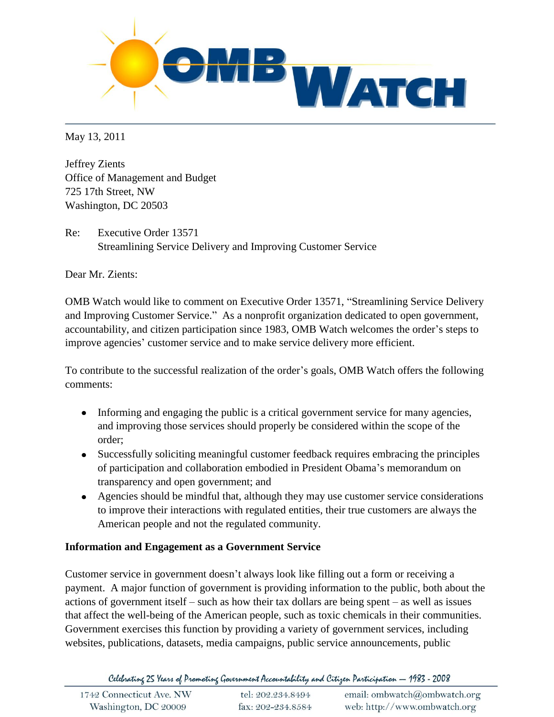

May 13, 2011

Jeffrey Zients Office of Management and Budget 725 17th Street, NW Washington, DC 20503

Re: Executive Order 13571 Streamlining Service Delivery and Improving Customer Service

Dear Mr. Zients:

OMB Watch would like to comment on Executive Order 13571, "Streamlining Service Delivery and Improving Customer Service." As a nonprofit organization dedicated to open government, accountability, and citizen participation since 1983, OMB Watch welcomes the order's steps to improve agencies' customer service and to make service delivery more efficient.

To contribute to the successful realization of the order's goals, OMB Watch offers the following comments:

- Informing and engaging the public is a critical government service for many agencies, and improving those services should properly be considered within the scope of the order;
- Successfully soliciting meaningful customer feedback requires embracing the principles of participation and collaboration embodied in President Obama's memorandum on transparency and open government; and
- Agencies should be mindful that, although they may use customer service considerations to improve their interactions with regulated entities, their true customers are always the American people and not the regulated community.

## **Information and Engagement as a Government Service**

Customer service in government doesn't always look like filling out a form or receiving a payment. A major function of government is providing information to the public, both about the actions of government itself – such as how their tax dollars are being spent – as well as issues that affect the well-being of the American people, such as toxic chemicals in their communities. Government exercises this function by providing a variety of government services, including websites, publications, datasets, media campaigns, public service announcements, public

Celebrating 25 Years of Promoting Government Accountability and Citizen Participation - 1983 - 2008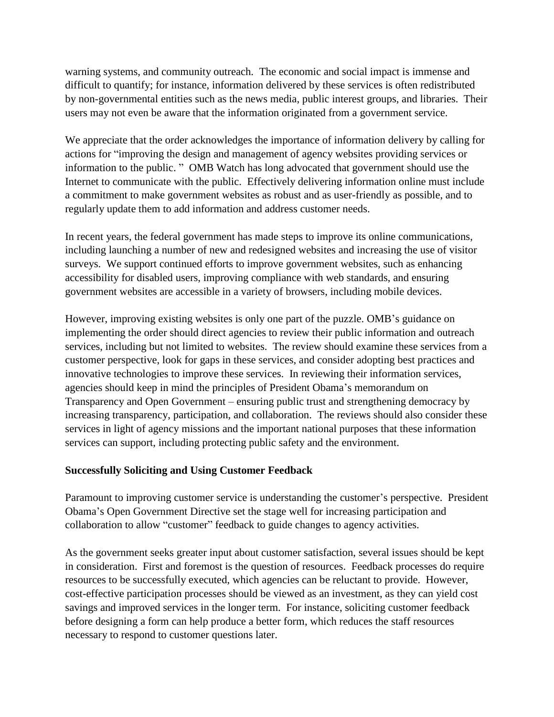warning systems, and community outreach. The economic and social impact is immense and difficult to quantify; for instance, information delivered by these services is often redistributed by non-governmental entities such as the news media, public interest groups, and libraries. Their users may not even be aware that the information originated from a government service.

We appreciate that the order acknowledges the importance of information delivery by calling for actions for "improving the design and management of agency websites providing services or information to the public. " OMB Watch has long advocated that government should use the Internet to communicate with the public. Effectively delivering information online must include a commitment to make government websites as robust and as user-friendly as possible, and to regularly update them to add information and address customer needs.

In recent years, the federal government has made steps to improve its online communications, including launching a number of new and redesigned websites and increasing the use of visitor surveys. We support continued efforts to improve government websites, such as enhancing accessibility for disabled users, improving compliance with web standards, and ensuring government websites are accessible in a variety of browsers, including mobile devices.

However, improving existing websites is only one part of the puzzle. OMB's guidance on implementing the order should direct agencies to review their public information and outreach services, including but not limited to websites. The review should examine these services from a customer perspective, look for gaps in these services, and consider adopting best practices and innovative technologies to improve these services. In reviewing their information services, agencies should keep in mind the principles of President Obama's memorandum on Transparency and Open Government – ensuring public trust and strengthening democracy by increasing transparency, participation, and collaboration. The reviews should also consider these services in light of agency missions and the important national purposes that these information services can support, including protecting public safety and the environment.

## **Successfully Soliciting and Using Customer Feedback**

Paramount to improving customer service is understanding the customer's perspective. President Obama's Open Government Directive set the stage well for increasing participation and collaboration to allow "customer" feedback to guide changes to agency activities.

As the government seeks greater input about customer satisfaction, several issues should be kept in consideration. First and foremost is the question of resources. Feedback processes do require resources to be successfully executed, which agencies can be reluctant to provide. However, cost-effective participation processes should be viewed as an investment, as they can yield cost savings and improved services in the longer term. For instance, soliciting customer feedback before designing a form can help produce a better form, which reduces the staff resources necessary to respond to customer questions later.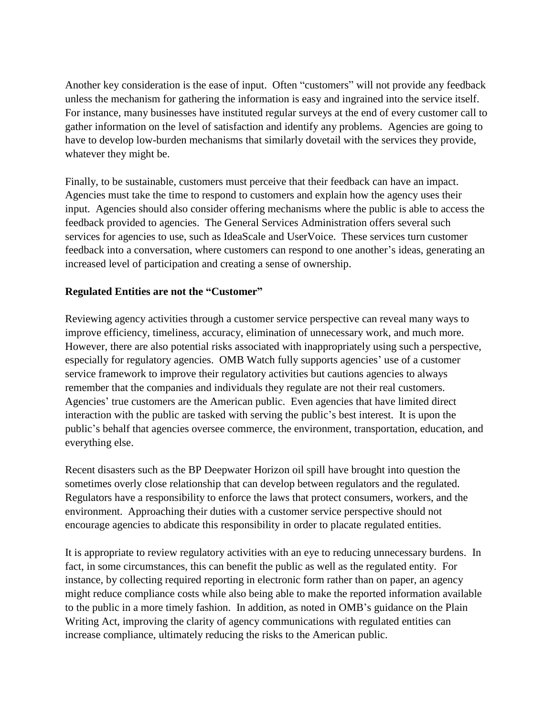Another key consideration is the ease of input. Often "customers" will not provide any feedback unless the mechanism for gathering the information is easy and ingrained into the service itself. For instance, many businesses have instituted regular surveys at the end of every customer call to gather information on the level of satisfaction and identify any problems. Agencies are going to have to develop low-burden mechanisms that similarly dovetail with the services they provide, whatever they might be.

Finally, to be sustainable, customers must perceive that their feedback can have an impact. Agencies must take the time to respond to customers and explain how the agency uses their input. Agencies should also consider offering mechanisms where the public is able to access the feedback provided to agencies. The General Services Administration offers several such services for agencies to use, such as IdeaScale and UserVoice. These services turn customer feedback into a conversation, where customers can respond to one another's ideas, generating an increased level of participation and creating a sense of ownership.

## **Regulated Entities are not the "Customer"**

Reviewing agency activities through a customer service perspective can reveal many ways to improve efficiency, timeliness, accuracy, elimination of unnecessary work, and much more. However, there are also potential risks associated with inappropriately using such a perspective, especially for regulatory agencies. OMB Watch fully supports agencies' use of a customer service framework to improve their regulatory activities but cautions agencies to always remember that the companies and individuals they regulate are not their real customers. Agencies' true customers are the American public. Even agencies that have limited direct interaction with the public are tasked with serving the public's best interest. It is upon the public's behalf that agencies oversee commerce, the environment, transportation, education, and everything else.

Recent disasters such as the BP Deepwater Horizon oil spill have brought into question the sometimes overly close relationship that can develop between regulators and the regulated. Regulators have a responsibility to enforce the laws that protect consumers, workers, and the environment. Approaching their duties with a customer service perspective should not encourage agencies to abdicate this responsibility in order to placate regulated entities.

It is appropriate to review regulatory activities with an eye to reducing unnecessary burdens. In fact, in some circumstances, this can benefit the public as well as the regulated entity. For instance, by collecting required reporting in electronic form rather than on paper, an agency might reduce compliance costs while also being able to make the reported information available to the public in a more timely fashion. In addition, as noted in OMB's guidance on the Plain Writing Act, improving the clarity of agency communications with regulated entities can increase compliance, ultimately reducing the risks to the American public.